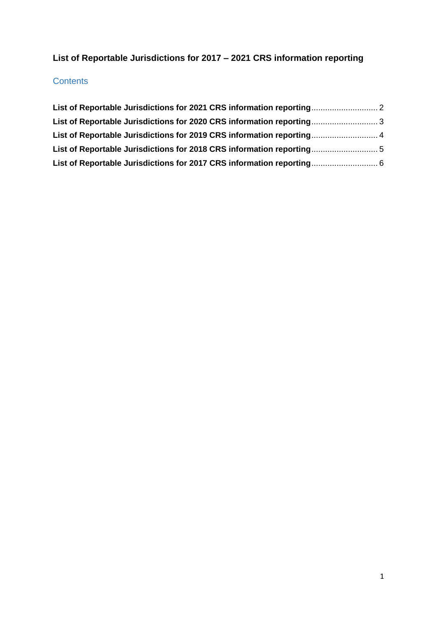# **List of Reportable Jurisdictions for 2017 – 2021 CRS information reporting**

### **Contents**

| List of Reportable Jurisdictions for 2019 CRS information reporting 4 |  |
|-----------------------------------------------------------------------|--|
|                                                                       |  |
| List of Reportable Jurisdictions for 2017 CRS information reporting 6 |  |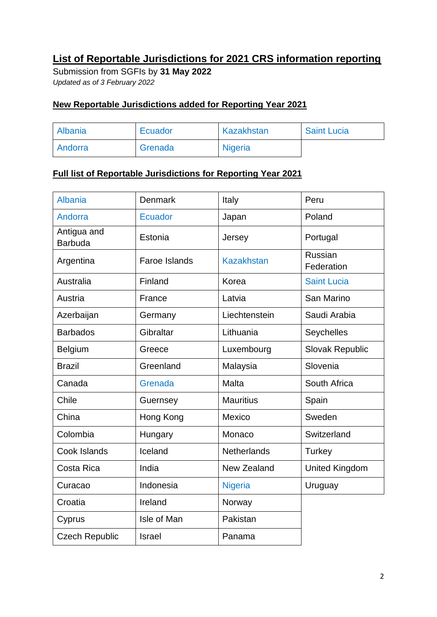## <span id="page-1-0"></span>**List of Reportable Jurisdictions for 2021 CRS information reporting**

Submission from SGFIs by **31 May 2022** *Updated as of 3 February 2022*

### **New Reportable Jurisdictions added for Reporting Year 2021**

| Albania        | Ecuador | Kazakhstan     | <b>Saint Lucia</b> |
|----------------|---------|----------------|--------------------|
| <b>Andorra</b> | Grenada | <b>Nigeria</b> |                    |

| <b>Albania</b>                | <b>Denmark</b>       | Italy              | Peru                  |
|-------------------------------|----------------------|--------------------|-----------------------|
| Andorra                       | <b>Ecuador</b>       | Japan              | Poland                |
| Antigua and<br><b>Barbuda</b> | Estonia              | Jersey             | Portugal              |
| Argentina                     | <b>Faroe Islands</b> | <b>Kazakhstan</b>  | Russian<br>Federation |
| Australia                     | Finland              | Korea              | <b>Saint Lucia</b>    |
| Austria                       | France               | Latvia             | San Marino            |
| Azerbaijan                    | Germany              | Liechtenstein      | Saudi Arabia          |
| <b>Barbados</b>               | Gibraltar            | Lithuania          | Seychelles            |
| Belgium                       | Greece               | Luxembourg         | Slovak Republic       |
| <b>Brazil</b>                 | Greenland            | Malaysia           | Slovenia              |
| Canada                        | Grenada              | Malta              | South Africa          |
| Chile                         | Guernsey             | <b>Mauritius</b>   | Spain                 |
| China                         | Hong Kong            | Mexico             | Sweden                |
| Colombia                      | Hungary              | Monaco             | Switzerland           |
| Cook Islands                  | Iceland              | <b>Netherlands</b> | Turkey                |
| Costa Rica                    | India                | New Zealand        | <b>United Kingdom</b> |
| Curacao                       | Indonesia            | <b>Nigeria</b>     | Uruguay               |
| Croatia                       | Ireland              | Norway             |                       |
| Cyprus                        | Isle of Man          | Pakistan           |                       |
| <b>Czech Republic</b>         | <b>Israel</b>        | Panama             |                       |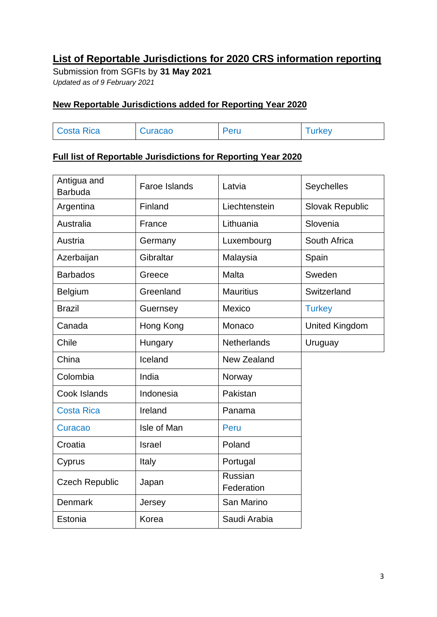## <span id="page-2-0"></span>**List of Reportable Jurisdictions for 2020 CRS information reporting**

Submission from SGFIs by **31 May 2021** *Updated as of 9 February 2021*

### **New Reportable Jurisdictions added for Reporting Year 2020**

| <b>Costa Rica</b> | Curacao | Peru | urkey |
|-------------------|---------|------|-------|
|                   |         |      |       |

<span id="page-2-1"></span>

| Antigua and<br><b>Barbuda</b> | Faroe Islands | Latvia                | Seychelles            |
|-------------------------------|---------------|-----------------------|-----------------------|
| Argentina                     | Finland       | Liechtenstein         | Slovak Republic       |
| Australia                     | France        | Lithuania             | Slovenia              |
| Austria                       | Germany       | Luxembourg            | South Africa          |
| Azerbaijan                    | Gibraltar     | Malaysia              | Spain                 |
| <b>Barbados</b>               | Greece        | Malta                 | Sweden                |
| Belgium                       | Greenland     | <b>Mauritius</b>      | Switzerland           |
| <b>Brazil</b>                 | Guernsey      | Mexico                | <b>Turkey</b>         |
| Canada                        | Hong Kong     | Monaco                | <b>United Kingdom</b> |
| Chile                         | Hungary       | <b>Netherlands</b>    | Uruguay               |
| China                         | Iceland       | New Zealand           |                       |
| Colombia                      | India         | Norway                |                       |
| Cook Islands                  | Indonesia     | Pakistan              |                       |
| <b>Costa Rica</b>             | Ireland       | Panama                |                       |
| Curacao                       | Isle of Man   | Peru                  |                       |
| Croatia                       | <b>Israel</b> | Poland                |                       |
| Cyprus                        | Italy         | Portugal              |                       |
| <b>Czech Republic</b>         | Japan         | Russian<br>Federation |                       |
| <b>Denmark</b>                | Jersey        | San Marino            |                       |
| Estonia                       | Korea         | Saudi Arabia          |                       |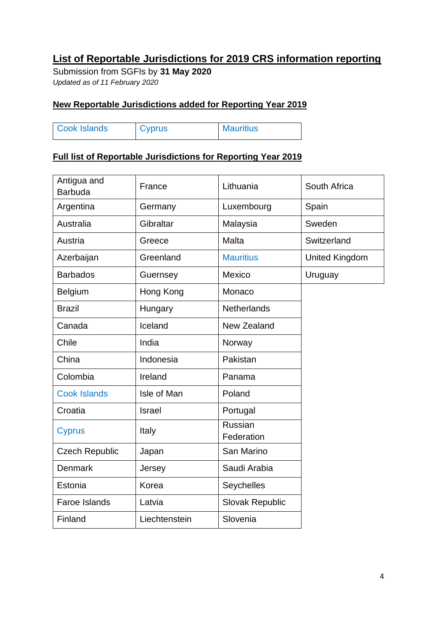### **List of Reportable Jurisdictions for 2019 CRS information reporting**

Submission from SGFIs by **31 May 2020** *Updated as of 11 February 2020*

### **New Reportable Jurisdictions added for Reporting Year 2019**

| <b>Cook Islands</b> | <b>Cyprus</b> | <b>Mauritius</b> |
|---------------------|---------------|------------------|

<span id="page-3-0"></span>

| Antigua and<br><b>Barbuda</b> | France        | Lithuania                    | South Africa          |
|-------------------------------|---------------|------------------------------|-----------------------|
| Argentina                     | Germany       | Luxembourg                   | Spain                 |
| Australia                     | Gibraltar     | Malaysia                     | Sweden                |
| Austria                       | Greece        | Malta                        | Switzerland           |
| Azerbaijan                    | Greenland     | <b>Mauritius</b>             | <b>United Kingdom</b> |
| <b>Barbados</b>               | Guernsey      | Mexico                       | Uruguay               |
| <b>Belgium</b>                | Hong Kong     | Monaco                       |                       |
| <b>Brazil</b>                 | Hungary       | <b>Netherlands</b>           |                       |
| Canada                        | Iceland       | New Zealand                  |                       |
| Chile                         | India         | Norway                       |                       |
| China                         | Indonesia     | Pakistan                     |                       |
| Colombia                      | Ireland       | Panama                       |                       |
| <b>Cook Islands</b>           | Isle of Man   | Poland                       |                       |
| Croatia                       | <b>Israel</b> | Portugal                     |                       |
| <b>Cyprus</b>                 | Italy         | <b>Russian</b><br>Federation |                       |
| <b>Czech Republic</b>         | Japan         | San Marino                   |                       |
| <b>Denmark</b>                | Jersey        | Saudi Arabia                 |                       |
| Estonia                       | Korea         | Seychelles                   |                       |
| <b>Faroe Islands</b>          | Latvia        | <b>Slovak Republic</b>       |                       |
| Finland                       | Liechtenstein | Slovenia                     |                       |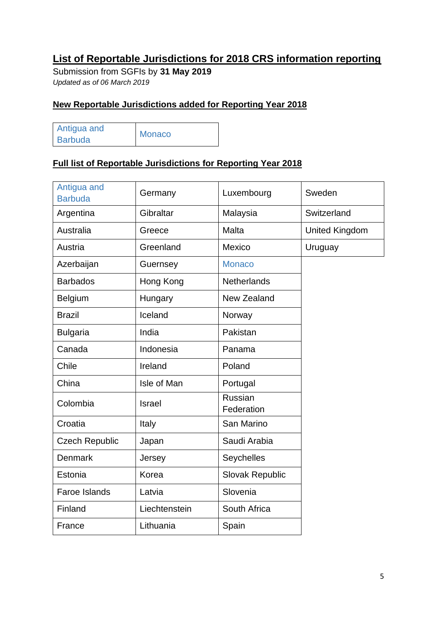## **List of Reportable Jurisdictions for 2018 CRS information reporting**

Submission from SGFIs by **31 May 2019** *Updated as of 06 March 2019* 

### **New Reportable Jurisdictions added for Reporting Year 2018**

| Antigua and    | Monaco |
|----------------|--------|
| <b>Barbuda</b> |        |

| Antigua and<br><b>Barbuda</b> | Germany       | Luxembourg            | Sweden                |
|-------------------------------|---------------|-----------------------|-----------------------|
| Argentina                     | Gibraltar     | Malaysia              | Switzerland           |
| Australia                     | Greece        | <b>Malta</b>          | <b>United Kingdom</b> |
| Austria                       | Greenland     | Mexico                | Uruguay               |
| Azerbaijan                    | Guernsey      | <b>Monaco</b>         |                       |
| <b>Barbados</b>               | Hong Kong     | <b>Netherlands</b>    |                       |
| Belgium                       | Hungary       | <b>New Zealand</b>    |                       |
| <b>Brazil</b>                 | Iceland       | Norway                |                       |
| <b>Bulgaria</b>               | India         | Pakistan              |                       |
| Canada                        | Indonesia     | Panama                |                       |
| Chile                         | Ireland       | Poland                |                       |
| China                         | Isle of Man   | Portugal              |                       |
| Colombia                      | <b>Israel</b> | Russian<br>Federation |                       |
| Croatia                       | Italy         | San Marino            |                       |
| <b>Czech Republic</b>         | Japan         | Saudi Arabia          |                       |
| <b>Denmark</b>                | Jersey        | <b>Seychelles</b>     |                       |
| Estonia                       | Korea         | Slovak Republic       |                       |
| Faroe Islands                 | Latvia        | Slovenia              |                       |
| Finland                       | Liechtenstein | South Africa          |                       |
| France                        | Lithuania     | Spain                 |                       |